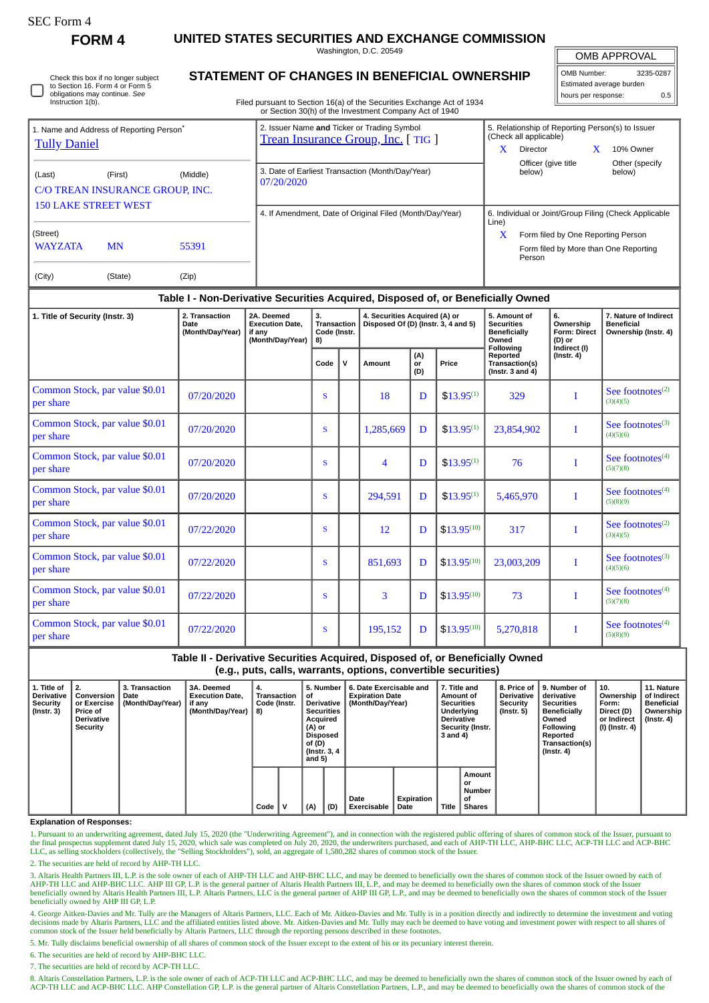Check this box if no longer subject

**FORM 4 UNITED STATES SECURITIES AND EXCHANGE COMMISSION**

Washington, D.C. 20549 **STATEMENT OF CHANGES IN BENEFICIAL OWNERSHIP**

OMB APPROVAL

H

| OMB Number:              | 3235-0287 |  |  |  |  |
|--------------------------|-----------|--|--|--|--|
| Estimated average burden |           |  |  |  |  |
| hours per response:      | ሰ 5       |  |  |  |  |

| 2. Issuer Name and Ticker or Trading Symbol<br>5. Relationship of Reporting Person(s) to Issuer<br>1. Name and Address of Reporting Person <sup>®</sup><br>(Check all applicable)<br><b>Trean Insurance Group, Inc.</b> [TIG ]<br><b>Tully Daniel</b><br>X<br>10% Owner<br>Director<br>Officer (give title<br>Other (specify<br>3. Date of Earliest Transaction (Month/Day/Year)<br>below)<br>below)<br>(Last)<br>(First)<br>(Middle)<br>07/20/2020<br>C/O TREAN INSURANCE GROUP, INC.<br><b>150 LAKE STREET WEST</b><br>4. If Amendment, Date of Original Filed (Month/Day/Year)<br>Line)<br>(Street)<br>X<br>Form filed by One Reporting Person<br><b>WAYZATA</b><br><b>MN</b><br>55391<br>Form filed by More than One Reporting<br>Person<br>(City)<br>(State)<br>(Zip) | to Section 16. Form 4 or Form 5<br>obligations may continue. See<br>Instruction 1(b). | Filed pursuant to Section 16(a) of the Securities Exchange Act of 1934<br>or Section 30(h) of the Investment Company Act of 1940 | Estimated average burden<br>0.5<br>hours per response: |
|----------------------------------------------------------------------------------------------------------------------------------------------------------------------------------------------------------------------------------------------------------------------------------------------------------------------------------------------------------------------------------------------------------------------------------------------------------------------------------------------------------------------------------------------------------------------------------------------------------------------------------------------------------------------------------------------------------------------------------------------------------------------------|---------------------------------------------------------------------------------------|----------------------------------------------------------------------------------------------------------------------------------|--------------------------------------------------------|
|                                                                                                                                                                                                                                                                                                                                                                                                                                                                                                                                                                                                                                                                                                                                                                            |                                                                                       |                                                                                                                                  |                                                        |
|                                                                                                                                                                                                                                                                                                                                                                                                                                                                                                                                                                                                                                                                                                                                                                            |                                                                                       |                                                                                                                                  |                                                        |
|                                                                                                                                                                                                                                                                                                                                                                                                                                                                                                                                                                                                                                                                                                                                                                            |                                                                                       |                                                                                                                                  | 6. Individual or Joint/Group Filing (Check Applicable  |
|                                                                                                                                                                                                                                                                                                                                                                                                                                                                                                                                                                                                                                                                                                                                                                            |                                                                                       |                                                                                                                                  |                                                        |
|                                                                                                                                                                                                                                                                                                                                                                                                                                                                                                                                                                                                                                                                                                                                                                            |                                                                                       |                                                                                                                                  |                                                        |
|                                                                                                                                                                                                                                                                                                                                                                                                                                                                                                                                                                                                                                                                                                                                                                            |                                                                                       |                                                                                                                                  |                                                        |

## **Table I - Non-Derivative Securities Acquired, Disposed of, or Beneficially Owned**

| 1. Title of Security (Instr. 3)             | 2. Transaction<br>Date<br>(Month/Day/Year) | 2A. Deemed<br><b>Execution Date,</b><br>if any<br>(Month/Day/Year) | 3.<br>Transaction<br>Code (Instr.<br>8) |   | 4. Securities Acquired (A) or<br>Disposed Of (D) (Instr. 3, 4 and 5) |                  |                 | 5. Amount of<br><b>Securities</b><br><b>Beneficially</b><br>Owned | 6.<br>Ownership<br><b>Form: Direct</b><br>(D) or<br>Indirect (I) | 7. Nature of Indirect<br><b>Beneficial</b><br>Ownership (Instr. 4) |  |
|---------------------------------------------|--------------------------------------------|--------------------------------------------------------------------|-----------------------------------------|---|----------------------------------------------------------------------|------------------|-----------------|-------------------------------------------------------------------|------------------------------------------------------------------|--------------------------------------------------------------------|--|
|                                             |                                            |                                                                    | Code                                    | v | Amount                                                               | (A)<br>or<br>(D) | Price           | Following<br>Reported<br>Transaction(s)<br>( $lnstr. 3 and 4$ )   | $($ Instr. 4 $)$                                                 |                                                                    |  |
| Common Stock, par value \$0.01<br>per share | 07/20/2020                                 |                                                                    | S                                       |   | 18                                                                   | D                | $$13.95^{(1)}$  | 329                                                               |                                                                  | See footnotes $(2)$<br>(3)(4)(5)                                   |  |
| Common Stock, par value \$0.01<br>per share | 07/20/2020                                 |                                                                    | S                                       |   | 1,285,669                                                            | D                | $$13.95^{(1)}$  | 23,854,902                                                        | I                                                                | See footnotes $(3)$<br>(4)(5)(6)                                   |  |
| Common Stock, par value \$0.01<br>per share | 07/20/2020                                 |                                                                    | S                                       |   | 4                                                                    | D                | $$13.95^{(1)}$  | 76                                                                |                                                                  | See footnotes <sup>(4)</sup><br>(5)(7)(8)                          |  |
| Common Stock, par value \$0.01<br>per share | 07/20/2020                                 |                                                                    | S                                       |   | 294.591                                                              | D                | $$13.95^{(1)}$  | 5,465,970                                                         | I                                                                | See footnotes $(4)$<br>(5)(8)(9)                                   |  |
| Common Stock, par value \$0.01<br>per share | 07/22/2020                                 |                                                                    | S                                       |   | 12                                                                   | D                | $$13.95^{(10)}$ | 317                                                               |                                                                  | See footnotes $(2)$<br>(3)(4)(5)                                   |  |
| Common Stock, par value \$0.01<br>per share | 07/22/2020                                 |                                                                    | S                                       |   | 851,693                                                              | D                | $$13.95^{(10)}$ | 23,003,209                                                        |                                                                  | See footnotes $(3)$<br>(4)(5)(6)                                   |  |
| Common Stock, par value \$0.01<br>per share | 07/22/2020                                 |                                                                    | S                                       |   | 3                                                                    | D                | $$13.95^{(10)}$ | 73                                                                |                                                                  | See footnotes $(4)$<br>(5)(7)(8)                                   |  |
| Common Stock, par value \$0.01<br>per share | 07/22/2020                                 |                                                                    | S                                       |   | 195,152                                                              | D                | $$13.95^{(10)}$ | 5,270,818                                                         | I                                                                | See footnotes $(4)$<br>(5)(8)(9)                                   |  |

## **Table II - Derivative Securities Acquired, Disposed of, or Beneficially Owned (e.g., puts, calls, warrants, options, convertible securities)**

| 1. Title of<br><b>Derivative</b><br>Security<br>(Instr. 3) | $^{\circ}$ 2.<br>Conversion<br>or Exercise<br><b>Price of</b><br><b>Derivative</b><br>Security | 3. Transaction<br>Date<br>(Month/Day/Year) | <b>3A. Deemed</b><br><b>Execution Date.</b><br>if any<br>(Month/Day/Year) | 4.<br>Transaction<br>Code (Instr.<br>8) |   | . 5. Number∣<br>of.<br><b>Derivative</b><br><b>Securities</b><br>Acquired<br>(A) or<br>Disposed<br>of (D)<br><b>(Instr. 3, 4)</b><br>and 5) |     | 6. Date Exercisable and<br><b>Expiration Date</b><br>(Month/Day/Year) |                    | 7. Title and<br>Amount of<br><b>Securities</b><br>Underlying<br><b>Derivative</b><br>Security (Instr.<br>3 and 4) |                                                      | 8. Price of I<br><b>Derivative</b><br>Security<br>$($ Instr. 5 $)$ | 9. Number of<br>derivative<br><b>Securities</b><br><b>Beneficially</b><br>Owned<br>Following<br>Reported<br>Transaction(s)<br>$($ Instr. 4 $)$ | 10.<br>Ownership<br>Form:<br>Direct (D)<br>or Indirect<br>(I) (Instr. 4) | 11. Nature<br>of Indirect<br>Beneficial<br>Ownership<br>(Instr. 4) |
|------------------------------------------------------------|------------------------------------------------------------------------------------------------|--------------------------------------------|---------------------------------------------------------------------------|-----------------------------------------|---|---------------------------------------------------------------------------------------------------------------------------------------------|-----|-----------------------------------------------------------------------|--------------------|-------------------------------------------------------------------------------------------------------------------|------------------------------------------------------|--------------------------------------------------------------------|------------------------------------------------------------------------------------------------------------------------------------------------|--------------------------------------------------------------------------|--------------------------------------------------------------------|
|                                                            |                                                                                                |                                            |                                                                           | Code                                    | v | (A)                                                                                                                                         | (D) | Date<br><b>Exercisable</b>                                            | Expiration<br>Date | Title                                                                                                             | Amount<br>or<br><b>Number</b><br>οf<br><b>Shares</b> |                                                                    |                                                                                                                                                |                                                                          |                                                                    |

#### **Explanation of Responses:**

1. Pursuant to an underwriting agreement, dated July 15, 2020 (the "Underwriting Agreement"), and in connection with the registered public offering of shares of common stock of the Issuer, pursuant to<br>the final prospectus LLC, as selling stockholders (collectively, the "Selling Stockholders"), sold, an aggregate of 1,580,282 shares of common stock of the Issuer.

2. The securities are held of record by AHP-TH LLC.

3. Altaris Health Partners III, L.P. is the sole owner of each of AHP-TH LLC and AHP-BHC LLC, and may be deemed to beneficially own the shares of common stock of the Issuer owned by each of<br>AHP-TH LLC and AHP-BHC LLC. AHP beneficially owned by AHP III GP, L.P.

4. George Aitken-Davies and Mr. Tully are the Managers of Altaris Partners, LLC. Each of Mr. Aitken-Davies and Mr. Tully is in a position directly and indirectly to determine the investment and voting decisions made by Altaris Partners, LLC and the affiliated entities listed above. Mr. Aitken-Davies and Mr. Tully may each be deemed to have voting and investment power with respect to all shares of common stock of the Issuer held beneficially by Altaris Partners, LLC through the reporting persons described in these footnotes.

5. Mr. Tully disclaims beneficial ownership of all shares of common stock of the Issuer except to the extent of his or its pecuniary interest therein.

6. The securities are held of record by AHP-BHC LLC.

7. The securities are held of record by ACP-TH LLC.

8. Altaris Constellation Partners, L.P. is the sole owner of each of ACP-TH LLC and ACP-BHC LLC, and may be deemed to beneficially own the shares of common stock of the Issuer owned by each of ACP-TH LLC and ACP-BHC LLC. AHP Constellation GP, L.P. is the general partner of Altaris Constellation Partners, L.P., and may be deemed to beneficially own the shares of common stock of the